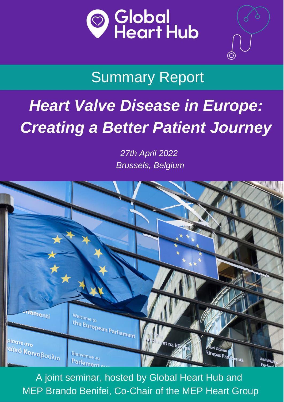

## **Summary Report**

## **Heart Valve Disease in Europe: Creating a Better Patient Journey**

27th April 2022 **Brussels, Belgium** 



A joint seminar, hosted by Global Heart Hub and MEP Brando Benifei, Co-Chair of the MEP Heart Group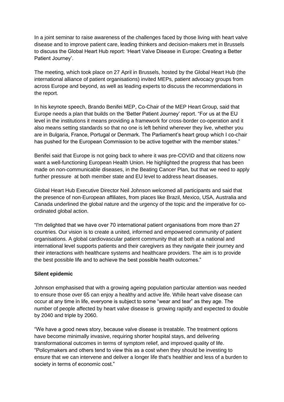In a joint seminar to raise awareness of the challenges faced by those living with heart valve disease and to improve patient care, leading thinkers and decision-makers met in Brussels to discuss the Global Heart Hub report: 'Heart Valve Disease in Europe: Creating a Better Patient Journey'.

The meeting, which took place on 27 April in Brussels, hosted by the Global Heart Hub (the international alliance of patient organisations) invited MEPs, patient advocacy groups from across Europe and beyond, as well as leading experts to discuss the recommendations in the report.

In his keynote speech, Brando Benifei MEP, Co-Chair of the MEP Heart Group, said that Europe needs a plan that builds on the 'Better Patient Journey' report. "For us at the EU level in the institutions it means providing a framework for cross-border co-operation and it also means setting standards so that no one is left behind wherever they live, whether you are in Bulgaria, France, Portugal or Denmark. The Parliament's heart group which I co-chair has pushed for the European Commission to be active together with the member states."

Benifei said that Europe is not going back to where it was pre-COVID and that citizens now want a well-functioning European Health Union. He highlighted the progress that has been made on non-communicable diseases, in the Beating Cancer Plan, but that we need to apply further pressure at both member state and EU level to address heart diseases.

Global Heart Hub Executive Director Neil Johnson welcomed all participants and said that the presence of non-European affiliates, from places like Brazil, Mexico, USA, Australia and Canada underlined the global nature and the urgency of the topic and the imperative for coordinated global action.

"I'm delighted that we have over 70 international patient organisations from more than 27 countries. Our vision is to create a united, informed and empowered community of patient organisations. A global cardiovascular patient community that at both at a national and international level supports patients and their caregivers as they navigate their journey and their interactions with healthcare systems and healthcare providers. The aim is to provide the best possible life and to achieve the best possible health outcomes."

#### **Silent epidemic**

Johnson emphasised that with a growing ageing population particular attention was needed to ensure those over 65 can enjoy a healthy and active life. While heart valve disease can occur at any time in life, everyone is subject to some "wear and tear" as they age. The number of people affected by heart valve disease is growing rapidly and expected to double by 2040 and triple by 2060.

"We have a good news story, because valve disease is treatable. The treatment options have become minimally invasive, requiring shorter hospital stays, and delivering transformational outcomes in terms of symptom relief, and improved quality of life. "Policymakers and others tend to view this as a cost when they should be investing to ensure that we can intervene and deliver a longer life that's healthier and less of a burden to society in terms of economic cost."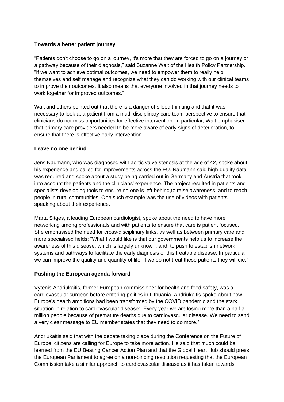#### **Towards a better patient journey**

"Patients don't choose to go on a journey, it's more that they are forced to go on a journey or a pathway because of their diagnosis," said Suzanne Wait of the Health Policy Partnership. "If we want to achieve optimal outcomes, we need to empower them to really help themselves and self manage and recognize what they can do working with our clinical teams to improve their outcomes. It also means that everyone involved in that journey needs to work together for improved outcomes."

Wait and others pointed out that there is a danger of siloed thinking and that it was necessary to look at a patient from a mutli-disciplinary care team perspective to ensure that clinicians do not miss opportunities for effective intervention. In particular, Wait emphasised that primary care providers needed to be more aware of early signs of deterioration, to ensure that there is effective early intervention.

#### **Leave no one behind**

Jens Näumann, who was diagnosed with aortic valve stenosis at the age of 42, spoke about his experience and called for improvements across the EU. Näumann said high-quality data was required and spoke about a study being carried out in Germany and Austria that took into account the patients and the clinicians' experience. The project resulted in patients and specialists developing tools to ensure no one is left behind,to raise awareness, and to reach people in rural communities. One such example was the use of videos with patients speaking about their experience.

Marta Sitges, a leading European cardiologist, spoke about the need to have more networking among professionals and with patients to ensure that care is patient focused. She emphasised the need for cross-disciplinary links, as well as between primary care and more specialised fields: "What I would like is that our governments help us to increase the awareness of this disease, which is largely unknown; and, to push to establish network systems and pathways to facilitate the early diagnosis of this treatable disease. In particular, we can improve the quality and quantity of life. If we do not treat these patients they will die."

#### **Pushing the European agenda forward**

Vytenis Andriukaitis, former European commissioner for health and food safety, was a cardiovascular surgeon before entering politics in Lithuania. Andriukaitis spoke about how Europe's health ambitions had been transformed by the COVID pandemic and the stark situation in relation to cardiovascular disease: "Every year we are losing more than a half a million people because of premature deaths due to cardiovascular disease. We need to send a very clear message to EU member states that they need to do more."

Andriukaitis said that with the debate taking place during the Conference on the Future of Europe, citizens are calling for Europe to take more action. He said that much could be learned from the EU Beating Cancer Action Plan and that the Global Heart Hub should press the European Parliament to agree on a non-binding resolution requesting that the European Commission take a similar approach to cardiovascular disease as it has taken towards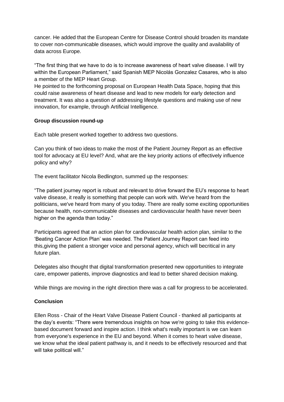cancer. He added that the European Centre for Disease Control should broaden its mandate to cover non-communicable diseases, which would improve the quality and availability of data across Europe.

"The first thing that we have to do is to increase awareness of heart valve disease. I will try within the European Parliament," said Spanish MEP Nicolás Gonzalez Casares, who is also a member of the MEP Heart Group.

He pointed to the forthcoming proposal on European Health Data Space, hoping that this could raise awareness of heart disease and lead to new models for early detection and treatment. It was also a question of addressing lifestyle questions and making use of new innovation, for example, through Artificial Intelligence.

#### **Group discussion round-up**

Each table present worked together to address two questions.

Can you think of two ideas to make the most of the Patient Journey Report as an effective tool for advocacy at EU level? And, what are the key priority actions of effectively influence policy and why?

The event facilitator Nicola Bedlington, summed up the responses:

"The patient journey report is robust and relevant to drive forward the EU's response to heart valve disease, it really is something that people can work with. We've heard from the politicians, we've heard from many of you today. There are really some exciting opportunities because health, non-communicable diseases and cardiovascular health have never been higher on the agenda than today."

Participants agreed that an action plan for cardiovascular health action plan, similar to the 'Beating Cancer Action Plan' was needed. The Patient Journey Report can feed into this,giving the patient a stronger voice and personal agency, which will becritical in any future plan.

Delegates also thought that digital transformation presented new opportunities to integrate care, empower patients, improve diagnostics and lead to better shared decision making.

While things are moving in the right direction there was a call for progress to be accelerated.

#### **Conclusion**

Ellen Ross - Chair of the Heart Valve Disease Patient Council - thanked all participants at the day's events: "There were tremendous insights on how we're going to take this evidencebased document forward and inspire action. I think what's really important is we can learn from everyone's experience in the EU and beyond. When it comes to heart valve disease, we know what the ideal patient pathway is, and it needs to be effectively resourced and that will take political will."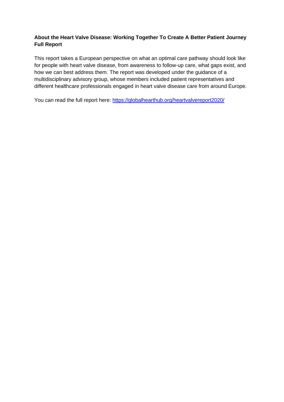#### **About the Heart Valve Disease: Working Together To Create A Better Patient Journey Full Report**

This report takes a European perspective on what an optimal care pathway should look like for people with heart valve disease, from awareness to follow-up care, what gaps exist, and how we can best address them. The report was developed under the guidance of a multidisciplinary advisory group, whose members included patient representatives and different healthcare professionals engaged in heart valve disease care from around Europe.

You can read the full report here:<https://globalhearthub.org/heartvalvereport2020/>